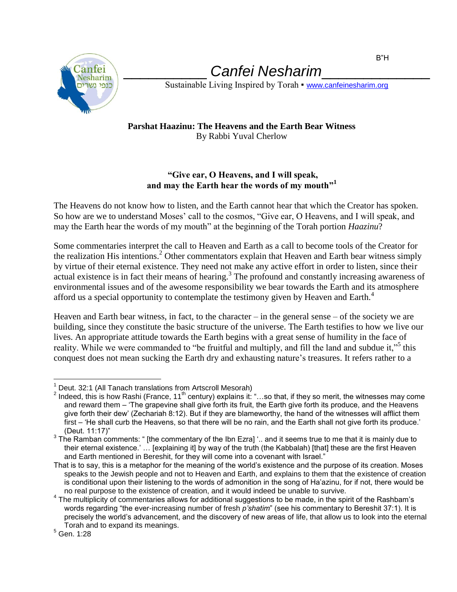

## \_\_\_\_\_\_\_\_\_\_ *Canfei Nesharim*\_\_\_\_\_\_\_\_\_\_\_\_\_

Sustainable Living Inspired by Torah • [www.canfeinesharim.org](http://www.canfeinesharim.org/)

## **Parshat Haazinu: The Heavens and the Earth Bear Witness** By Rabbi Yuval Cherlow

## **"Give ear, O Heavens, and I will speak,** and may the Earth hear the words of my mouth"<sup>1</sup>

The Heavens do not know how to listen, and the Earth cannot hear that which the Creator has spoken. So how are we to understand Moses' call to the cosmos, "Give ear, O Heavens, and I will speak, and may the Earth hear the words of my mouth" at the beginning of the Torah portion *Haazinu*?

Some commentaries interpret the call to Heaven and Earth as a call to become tools of the Creator for the realization His intentions.<sup>2</sup> Other commentators explain that Heaven and Earth bear witness simply by virtue of their eternal existence. They need not make any active effort in order to listen, since their  $\alpha$  actual existence is in fact their means of hearing.<sup>3</sup> The profound and constantly increasing awareness of environmental issues and of the awesome responsibility we bear towards the Earth and its atmosphere afford us a special opportunity to contemplate the testimony given by Heaven and Earth.<sup>4</sup>

Heaven and Earth bear witness, in fact, to the character – in the general sense – of the society we are building, since they constitute the basic structure of the universe. The Earth testifies to how we live our lives. An appropriate attitude towards the Earth begins with a great sense of humility in the face of reality. While we were commanded to "be fruitful and multiply, and fill the land and subdue it,"<sup>5</sup> this conquest does not mean sucking the Earth dry and exhausting nature's treasures. It refers rather to a

 $\overline{a}$  $1$  Deut. 32:1 (All Tanach translations from Artscroll Mesorah)

<sup>&</sup>lt;sup>2</sup> Indeed, this is how Rashi (France, 11<sup>th</sup> century) explains it: "...so that, if they so merit, the witnesses may come and reward them – 'The grapevine shall give forth its fruit, the Earth give forth its produce, and the Heavens give forth their dew' (Zechariah 8:12). But if they are blameworthy, the hand of the witnesses will afflict them first – 'He shall curb the Heavens, so that there will be no rain, and the Earth shall not give forth its produce.' (Deut. 11:17)"

 $^3$  The Ramban comments: " [the commentary of the Ibn Ezra] '.. and it seems true to me that it is mainly due to their eternal existence.' … [explaining it] by way of the truth (the Kabbalah) [that] these are the first Heaven and Earth mentioned in Bereshit, for they will come into a covenant with Israel."

That is to say, this is a metaphor for the meaning of the world's existence and the purpose of its creation. Moses speaks to the Jewish people and not to Heaven and Earth, and explains to them that the existence of creation is conditional upon their listening to the words of admonition in the song of Ha'azinu, for if not, there would be no real purpose to the existence of creation, and it would indeed be unable to survive.

 $4$  The multiplicity of commentaries allows for additional suggestions to be made, in the spirit of the Rashbam's words regarding "the ever-increasing number of fresh *p'shatim*" (see his commentary to Bereshit 37:1). It is precisely the world's advancement, and the discovery of new areas of life, that allow us to look into the eternal Torah and to expand its meanings.

<sup>5</sup> Gen. 1:28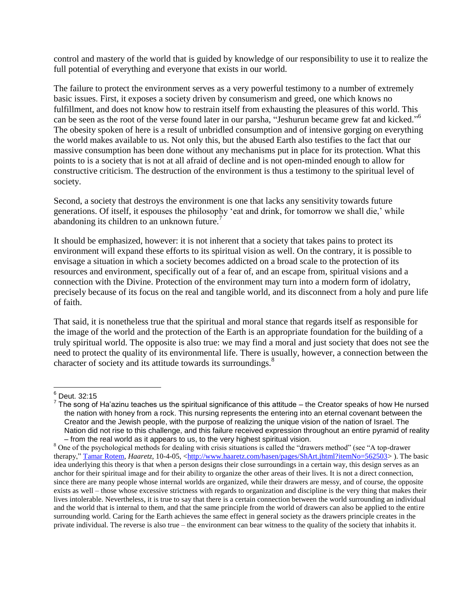control and mastery of the world that is guided by knowledge of our responsibility to use it to realize the full potential of everything and everyone that exists in our world.

The failure to protect the environment serves as a very powerful testimony to a number of extremely basic issues. First, it exposes a society driven by consumerism and greed, one which knows no fulfillment, and does not know how to restrain itself from exhausting the pleasures of this world. This can be seen as the root of the verse found later in our parsha, "Jeshurun became grew fat and kicked."<sup>6</sup> The obesity spoken of here is a result of unbridled consumption and of intensive gorging on everything the world makes available to us. Not only this, but the abused Earth also testifies to the fact that our massive consumption has been done without any mechanisms put in place for its protection. What this points to is a society that is not at all afraid of decline and is not open-minded enough to allow for constructive criticism. The destruction of the environment is thus a testimony to the spiritual level of society.

Second, a society that destroys the environment is one that lacks any sensitivity towards future generations. Of itself, it espouses the philosophy 'eat and drink, for tomorrow we shall die,' while abandoning its children to an unknown future.<sup>7</sup>

It should be emphasized, however: it is not inherent that a society that takes pains to protect its environment will expand these efforts to its spiritual vision as well. On the contrary, it is possible to envisage a situation in which a society becomes addicted on a broad scale to the protection of its resources and environment, specifically out of a fear of, and an escape from, spiritual visions and a connection with the Divine. Protection of the environment may turn into a modern form of idolatry, precisely because of its focus on the real and tangible world, and its disconnect from a holy and pure life of faith.

That said, it is nonetheless true that the spiritual and moral stance that regards itself as responsible for the image of the world and the protection of the Earth is an appropriate foundation for the building of a truly spiritual world. The opposite is also true: we may find a moral and just society that does not see the need to protect the quality of its environmental life. There is usually, however, a connection between the character of society and its attitude towards its surroundings.<sup>8</sup>

 $\overline{a}$ 

 $^6$  Deut. 32:15

 $^7$  The song of Ha'azinu teaches us the spiritual significance of this attitude – the Creator speaks of how He nursed the nation with honey from a rock. This nursing represents the entering into an eternal covenant between the Creator and the Jewish people, with the purpose of realizing the unique vision of the nation of Israel. The Nation did not rise to this challenge, and this failure received expression throughout an entire pyramid of reality – from the real world as it appears to us, to the very highest spiritual vision.

<sup>&</sup>lt;sup>8</sup> One of the psychological methods for dealing with crisis situations is called the "drawers method" (see "A top-drawer therapy," [Tamar Rotem,](mailto:trotem@haaretz.co.il) *Haaretz*, 10-4-05, [<http://www.haaretz.com/hasen/pages/ShArt.jhtml?itemNo=562503>](http://www.haaretz.com/hasen/pages/ShArt.jhtml?itemNo=562503)). The basic idea underlying this theory is that when a person designs their close surroundings in a certain way, this design serves as an anchor for their spiritual image and for their ability to organize the other areas of their lives. It is not a direct connection, since there are many people whose internal worlds are organized, while their drawers are messy, and of course, the opposite exists as well – those whose excessive strictness with regards to organization and discipline is the very thing that makes their lives intolerable. Nevertheless, it is true to say that there is a certain connection between the world surrounding an individual and the world that is internal to them, and that the same principle from the world of drawers can also be applied to the entire surrounding world. Caring for the Earth achieves the same effect in general society as the drawers principle creates in the private individual. The reverse is also true – the environment can bear witness to the quality of the society that inhabits it.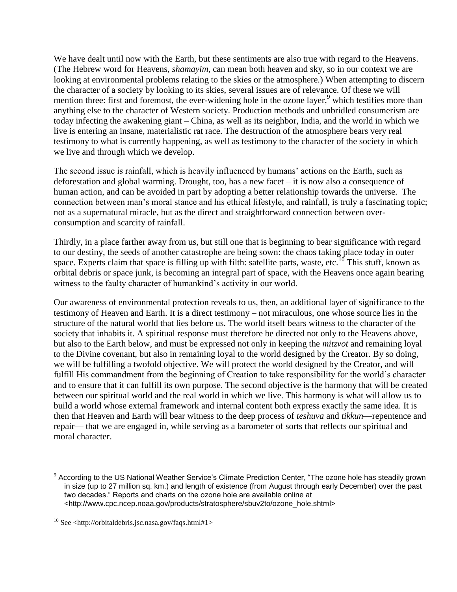We have dealt until now with the Earth, but these sentiments are also true with regard to the Heavens. (The Hebrew word for Heavens, *shamayim*, can mean both heaven and sky, so in our context we are looking at environmental problems relating to the skies or the atmosphere.) When attempting to discern the character of a society by looking to its skies, several issues are of relevance. Of these we will mention three: first and foremost, the ever-widening hole in the ozone layer, $9$  which testifies more than anything else to the character of Western society. Production methods and unbridled consumerism are today infecting the awakening giant – China, as well as its neighbor, India, and the world in which we live is entering an insane, materialistic rat race. The destruction of the atmosphere bears very real testimony to what is currently happening, as well as testimony to the character of the society in which we live and through which we develop.

The second issue is rainfall, which is heavily influenced by humans' actions on the Earth, such as deforestation and global warming. Drought, too, has a new facet – it is now also a consequence of human action, and can be avoided in part by adopting a better relationship towards the universe. The connection between man's moral stance and his ethical lifestyle, and rainfall, is truly a fascinating topic; not as a supernatural miracle, but as the direct and straightforward connection between overconsumption and scarcity of rainfall.

Thirdly, in a place farther away from us, but still one that is beginning to bear significance with regard to our destiny, the seeds of another catastrophe are being sown: the chaos taking place today in outer space. Experts claim that space is filling up with filth: satellite parts, waste, etc.<sup>10</sup> This stuff, known as orbital debris or space junk, is becoming an integral part of space, with the Heavens once again bearing witness to the faulty character of humankind's activity in our world.

Our awareness of environmental protection reveals to us, then, an additional layer of significance to the testimony of Heaven and Earth. It is a direct testimony – not miraculous, one whose source lies in the structure of the natural world that lies before us. The world itself bears witness to the character of the society that inhabits it. A spiritual response must therefore be directed not only to the Heavens above, but also to the Earth below, and must be expressed not only in keeping the *mitzvot* and remaining loyal to the Divine covenant, but also in remaining loyal to the world designed by the Creator. By so doing, we will be fulfilling a twofold objective. We will protect the world designed by the Creator, and will fulfill His commandment from the beginning of Creation to take responsibility for the world's character and to ensure that it can fulfill its own purpose. The second objective is the harmony that will be created between our spiritual world and the real world in which we live. This harmony is what will allow us to build a world whose external framework and internal content both express exactly the same idea. It is then that Heaven and Earth will bear witness to the deep process of *teshuva* and *tikkun*—repentence and repair— that we are engaged in, while serving as a barometer of sorts that reflects our spiritual and moral character.

 $\overline{a}$ 

<sup>&</sup>lt;sup>9</sup> According to the US National Weather Service's Climate Prediction Center, "The ozone hole has steadily grown in size (up to 27 million sq. km.) and length of existence (from August through early December) over the past two decades." Reports and charts on the ozone hole are available online at <http://www.cpc.ncep.noaa.gov/products/stratosphere/sbuv2to/ozone\_hole.shtml>

 $10$  See <http://orbitaldebris.jsc.nasa.gov/faqs.html#1>